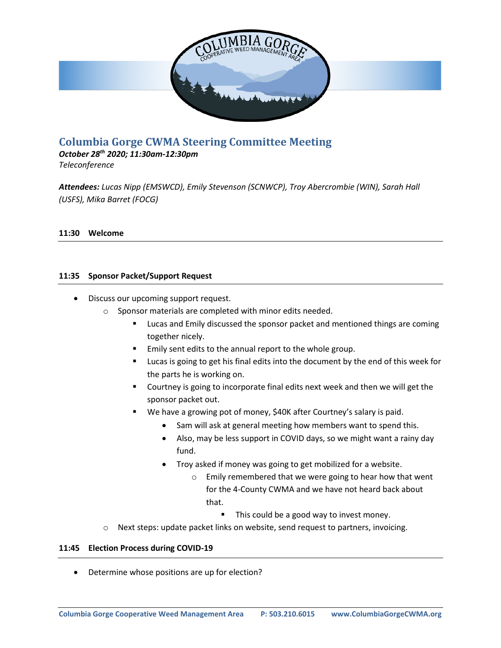

# **Columbia Gorge CWMA Steering Committee Meeting**

*October 28th 2020; 11:30am-12:30pm*

*Teleconference*

*Attendees: Lucas Nipp (EMSWCD), Emily Stevenson (SCNWCP), Troy Abercrombie (WIN), Sarah Hall (USFS), Mika Barret (FOCG)*

### **11:30 Welcome**

#### **11:35 Sponsor Packet/Support Request**

- Discuss our upcoming support request.
	- o Sponsor materials are completed with minor edits needed.
		- Lucas and Emily discussed the sponsor packet and mentioned things are coming together nicely.
		- Emily sent edits to the annual report to the whole group.
		- Lucas is going to get his final edits into the document by the end of this week for the parts he is working on.
		- Courtney is going to incorporate final edits next week and then we will get the sponsor packet out.
		- We have a growing pot of money, \$40K after Courtney's salary is paid.
			- Sam will ask at general meeting how members want to spend this.
				- Also, may be less support in COVID days, so we might want a rainy day fund.
			- Troy asked if money was going to get mobilized for a website.
				- o Emily remembered that we were going to hear how that went for the 4-County CWMA and we have not heard back about that.
					- This could be a good way to invest money.
	- $\circ$  Next steps: update packet links on website, send request to partners, invoicing.

#### **11:45 Election Process during COVID-19**

• Determine whose positions are up for election?